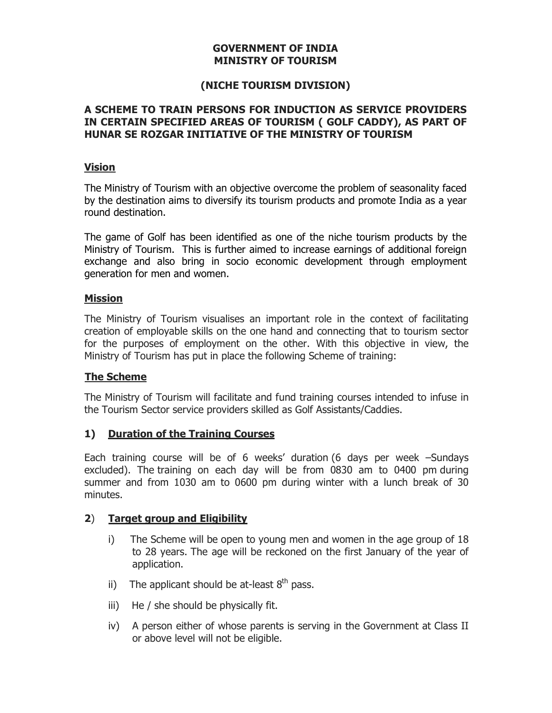#### **GOVERNMENT OF INDIA MINISTRY OF TOURISM**

### **(NICHE TOURISM DIVISION)**

#### **A SCHEME TO TRAIN PERSONS FOR INDUCTION AS SERVICE PROVIDERS IN CERTAIN SPECIFIED AREAS OF TOURISM ( GOLF CADDY), AS PART OF HUNAR SE ROZGAR INITIATIVE OF THE MINISTRY OF TOURISM**

#### **Vision**

The Ministry of Tourism with an objective overcome the problem of seasonality faced by the destination aims to diversify its tourism products and promote India as a year round destination.

The game of Golf has been identified as one of the niche tourism products by the Ministry of Tourism. This is further aimed to increase earnings of additional foreign exchange and also bring in socio economic development through employment generation for men and women.

#### **Mission**

The Ministry of Tourism visualises an important role in the context of facilitating creation of employable skills on the one hand and connecting that to tourism sector for the purposes of employment on the other. With this objective in view, the Ministry of Tourism has put in place the following Scheme of training:

### **The Scheme**

The Ministry of Tourism will facilitate and fund training courses intended to infuse in the Tourism Sector service providers skilled as Golf Assistants/Caddies.

### **1) Duration of the Training Courses**

Each training course will be of 6 weeks' duration (6 days per week –Sundays excluded). The training on each day will be from 0830 am to 0400 pm during summer and from 1030 am to 0600 pm during winter with a lunch break of 30 minutes.

### **2**) **Target group and Eligibility**

- i) The Scheme will be open to young men and women in the age group of 18 to 28 years. The age will be reckoned on the first January of the year of application.
- ii) The applicant should be at-least  $8<sup>th</sup>$  pass.
- iii) He / she should be physically fit.
- iv) A person either of whose parents is serving in the Government at Class II or above level will not be eligible.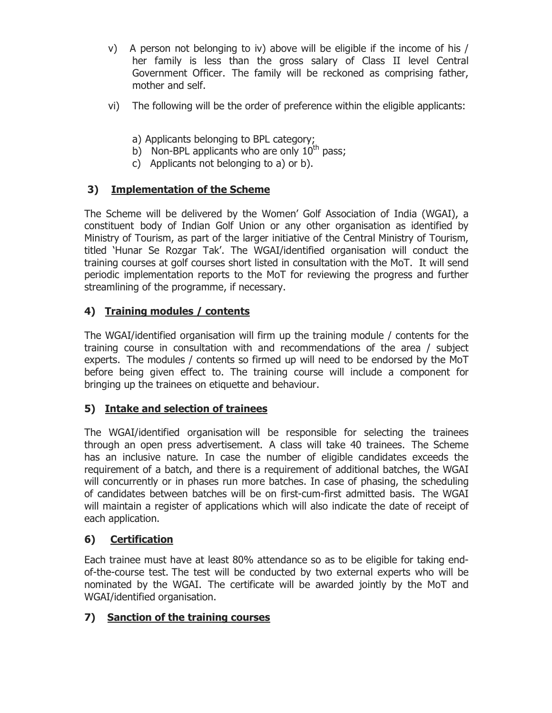- v) A person not belonging to iv) above will be eligible if the income of his / her family is less than the gross salary of Class II level Central Government Officer. The family will be reckoned as comprising father, mother and self.
- vi) The following will be the order of preference within the eligible applicants:
	- a) Applicants belonging to BPL category;
	- b) Non-BPL applicants who are only  $10^{th}$  pass;
	- c) Applicants not belonging to a) or b).

# **3) Implementation of the Scheme**

The Scheme will be delivered by the Women' Golf Association of India (WGAI), a constituent body of Indian Golf Union or any other organisation as identified by Ministry of Tourism, as part of the larger initiative of the Central Ministry of Tourism, titled 'Hunar Se Rozgar Tak'. The WGAI/identified organisation will conduct the training courses at golf courses short listed in consultation with the MoT. It will send periodic implementation reports to the MoT for reviewing the progress and further streamlining of the programme, if necessary.

# **4) Training modules / contents**

The WGAI/identified organisation will firm up the training module / contents for the training course in consultation with and recommendations of the area / subject experts. The modules / contents so firmed up will need to be endorsed by the MoT before being given effect to. The training course will include a component for bringing up the trainees on etiquette and behaviour.

# **5) Intake and selection of trainees**

The WGAI/identified organisation will be responsible for selecting the trainees through an open press advertisement. A class will take 40 trainees. The Scheme has an inclusive nature. In case the number of eligible candidates exceeds the requirement of a batch, and there is a requirement of additional batches, the WGAI will concurrently or in phases run more batches. In case of phasing, the scheduling of candidates between batches will be on first-cum-first admitted basis. The WGAI will maintain a register of applications which will also indicate the date of receipt of each application.

# **6) Certification**

Each trainee must have at least 80% attendance so as to be eligible for taking endof-the-course test. The test will be conducted by two external experts who will be nominated by the WGAI. The certificate will be awarded jointly by the MoT and WGAI/identified organisation.

# **7) Sanction of the training courses**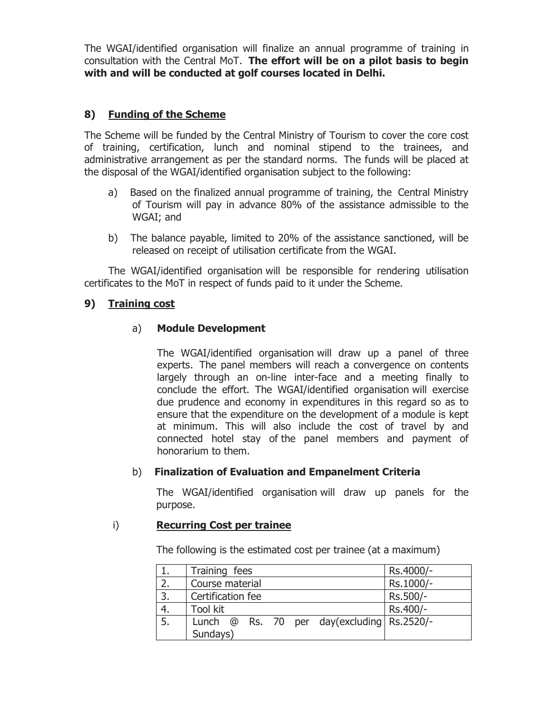The WGAI/identified organisation will finalize an annual programme of training in consultation with the Central MoT. **The effort will be on a pilot basis to begin with and will be conducted at golf courses located in Delhi.** 

## **8) Funding of the Scheme**

The Scheme will be funded by the Central Ministry of Tourism to cover the core cost of training, certification, lunch and nominal stipend to the trainees, and administrative arrangement as per the standard norms. The funds will be placed at the disposal of the WGAI/identified organisation subject to the following:

- a) Based on the finalized annual programme of training, the Central Ministry of Tourism will pay in advance 80% of the assistance admissible to the WGAI; and
- b) The balance payable, limited to 20% of the assistance sanctioned, will be released on receipt of utilisation certificate from the WGAI.

 The WGAI/identified organisation will be responsible for rendering utilisation certificates to the MoT in respect of funds paid to it under the Scheme.

### **9) Training cost**

### a) **Module Development**

The WGAI/identified organisation will draw up a panel of three experts. The panel members will reach a convergence on contents largely through an on-line inter-face and a meeting finally to conclude the effort. The WGAI/identified organisation will exercise due prudence and economy in expenditures in this regard so as to ensure that the expenditure on the development of a module is kept at minimum. This will also include the cost of travel by and connected hotel stay of the panel members and payment of honorarium to them.

### b) **Finalization of Evaluation and Empanelment Criteria**

 The WGAI/identified organisation will draw up panels for the purpose.

### i) **Recurring Cost per trainee**

The following is the estimated cost per trainee (at a maximum)

| ī. | Training fees                              | Rs.4000/- |
|----|--------------------------------------------|-----------|
|    | Course material                            | Rs.1000/- |
| 3. | Certification fee                          | Rs.500/-  |
| 4. | Tool kit                                   | Rs.400/-  |
| 5. | Lunch @ Rs. 70 per day(excluding Rs.2520/- |           |
|    | Sundays)                                   |           |